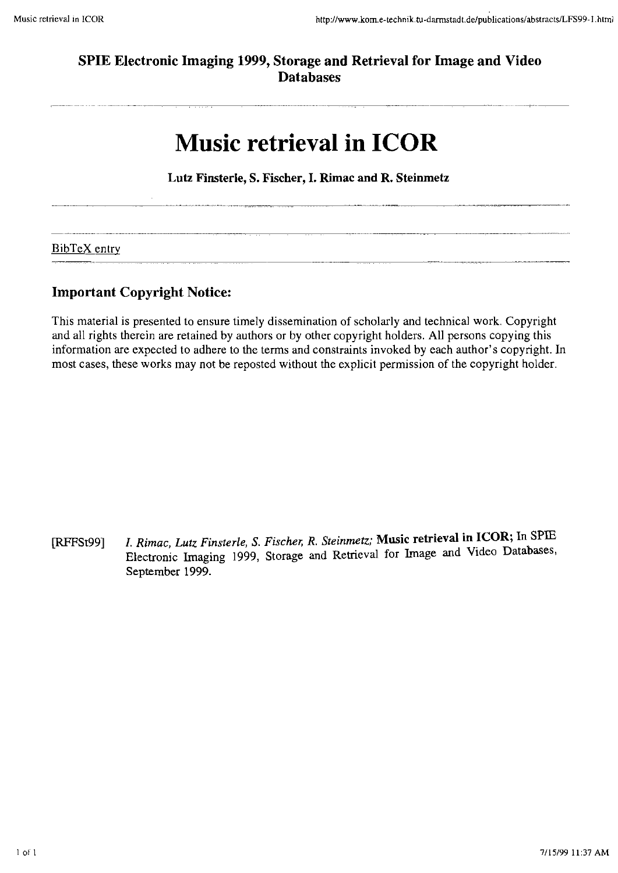# **SPIE Electronic Imaging 1999, Storage and Retrieval for Image and Video Databases**

# **Music retrieval in ICOR**

**Lutz Finsterle, S. Fischer, I. Rimac and R. Steinmetz** 

# BibTeX entry

# **Important Copyright Notice:**

This material is presented to ensure timely dissemination of scholarly and technical work. Copyright and all rights therein are retained by authors or by other copyright holders. All persons copying this infomation are expected to adhere to the terms and constraints invoked by each author's copyright. In most cases, these works may not be reposted without the explicit permission of the copyright holder.

WFSt991 *I. Rimac, Lutz Finsterle,* **S.** *Fischer, R. Steinmetz;* **Music retrieval in ICOR;** In SPIE Electronic Imaging 1999, Storage and Retrieval for Image and Video Databases, September 1999.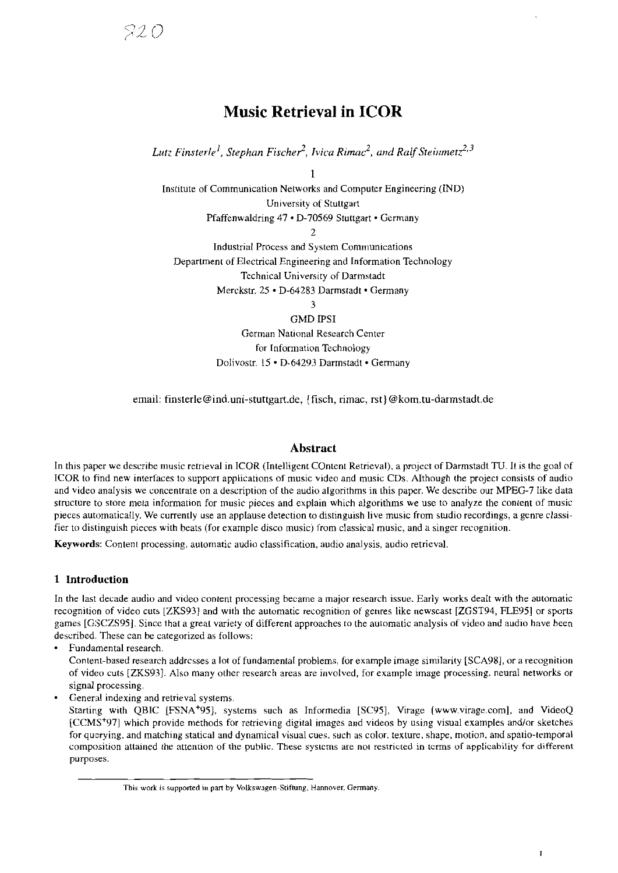# **Music Retrieval in ICOR**

Lutz Finsterle<sup>1</sup>, Stephan Fischer<sup>2</sup>, Ivica Rimac<sup>2</sup>, and Ralf Steinmetz<sup>2,3</sup>

1

Institute of Comrnunication Networks and Computer Engineering (IND) University of Stuttgart Pfaffenwaldring 47 · D-70569 Stuttgart · Germany

 $\mathcal{D}$ 

Industrial Process and System Communications Departmenr of Electrical Engineering and Information Technology Technicai University of Darmstadt Merckstr. 25 · D-64283 Darmstadt · Germany

> 3 GMD IPSI

German National Research Center for Information Technology Dolivostr. 15 · D-64293 Darmstadt · Germany

email: finsterle@ind.uni-stuttgart.de, {fisch, rimac, rst}@kom.tu-darmstadt.de

# **Abstract**

In this paper we describe music retrieval in ICOR (Intelligent COntent Retrieval), a project of Darmstadt TU. It is the goal of ICOR to find new interfaces to support applications of music video and music CDs. AIthough the project consists of audio and video analysis we concentrate on a description of the audio algorithms in this paper. We describe our MPEG-7 like data structure to store meta information for music pieces and explain which algorithms we use to analyze the content of music pieces automatically. We currently use an applause detection to distinguish live music from studio recordings, a genre classifier to distinguish pieces with beats (for example disco musicj from classical music, and a singer recognition.

**Keywords:** Content processing, automatic audio classification, audio analysis, audio retrieval.

# **1 Introduction**

In the last decade audio and video content processing became a major research issue,. Early works dealt with the automatic recognition of video cuts [ZKS93] and with the automatic recognition of genres like newscast [ZGST94, FLE95] or sports games [GSCZS95]. Since that a great variety of different approaches to the automatic analysis of video and audio have been described. These can be categorized as follows: . Fundamental research.

Content-based research addrcsses a lot of fundamental problems, for example image similarity [SCA98], or a recognition of video cuts [ZKS93]. Also many other research areas are involved, for example image processing, neural networks or signal processing.

General indexing and retrieval systems.

Starting with QBIC [FSNA<sup>+95</sup>], systems such as Informedia [SC95], Virage [www.virage.com], and VideoQ [CCMSf97] which provide methods for retrieving digital images and videos by using visual examples andlor sketches for querying, and matching statical and dynamical visual cues, such as color, texture, shape, motion, and spatio-temporal composition attained rhe nttention of the puhlic. These sysrems are not restricted in icrms **oi** applicability for different purposes. r queryin<br>ompositic<br>orposes.<br>——————

This work is supported in part by Volkswagen-Stiftung, Hannover, Germany.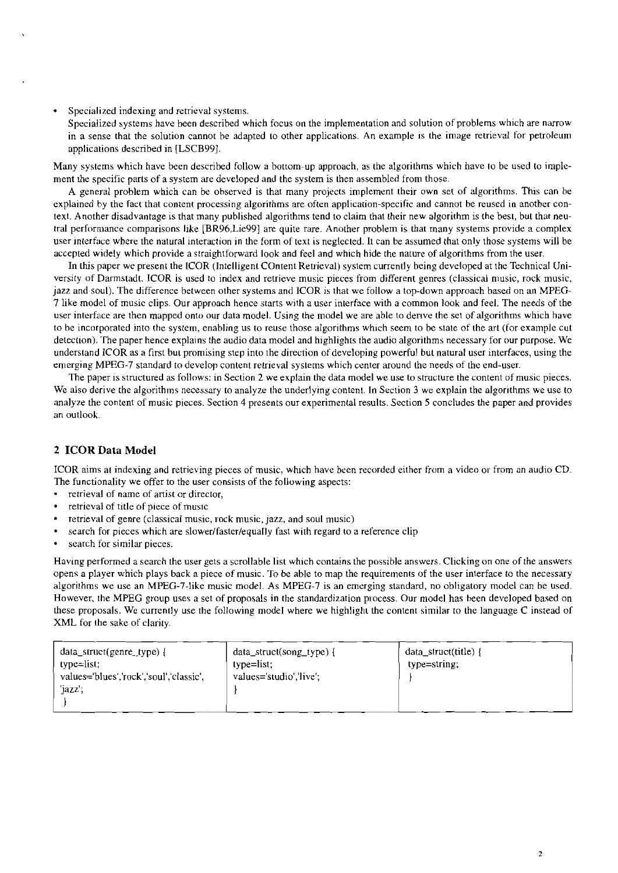- Specialized indexing and retrieval systems.
	- Specialized systems have been described which focus on the implementation and solution of problems which are narrow in a sense that the solution cannot be adapted to other applications. An example is the image retrieval for petroleum applications described in [LSCB99].

Many systems which have been described follow a bottom-up approach, as the algorithms which have to be used to implement the specific parts of a system are developed and the system is then assembled from those.

A general problem which can be observed is that many projects implement their own set of algorithms. This can be explained by the fact that content processing algorithms are often application-specific and cannot be reused in another context. Another disadvantage is that many published algorithms tend to claim that their new algorithm is the best, but that neutral performance comparisons like [BR96,Lie99] are quite rare. Another problem is that many systems provide a complex user interface where the natural interaction in the form of text is neglected. It can be assumed that only those systems will be accepted widely which provide a straightforward look and feel and which hide the nature of algorithms from the user.

In this paper we present the ICOR (Intelligent COntent Retrieval) system currently being developed at the Technical University of Darmstadt. ICOR is used to index and retrieve music pieces from different genres (classical music, rock music, jazz and soul). The difference between other systems and ICOR is that we follow a top-down approach based on an MPEG-7 like model of music clips. Our approach hence starts with a user interface with a common look and feel. The needs of the user interface are then mapped onto our data model. Using the model we are able to derive the set of algorithms which have tobe incorporated into the system, enabling us to reuse those algorithms which seem to be state of the arl (for example cut detection). The paper hence explains the audio data model and highlights the audio algorithms necessary for our purpose. We understand ICOR as a first but promising step into the direction of developing powerful but natural user interfaces, using the emerging MPEG-7 standard to develop content retrieval systems which center around the needs of the end-user.

The paper is structured as follows: in Section 2 we explain the data model we use to structure the content of music pieces. We also derive the algorithms necessary to analyze the underlying content. In Section 3 we explain the algorithms we use to analyze the content of music pieces. Section 4 presents our experimental results. Section 5 concludes the paper and provides an outloot.

# **2 ICOR Data Model**

ICOR aims at indexing and retrieving pieces of music, which have been recorded either from a video oi from an audio CD. The functionality we offer to the user consists of the following aspects:

- retrieval of name of artist or director,
- retrieval of title of piece of music
- retrieval of genre (classical music, rock music, jazz, and soul music)
- search for pieces which are slower/faster/equally fast with regard to a reference clip
- $\ddot{\phantom{0}}$ search for similar pieces.

Having performed a search the User gets a scrollable list which contains the possible answers. Clicking on one of the answers Opens a player which plays back a piece of music. To be abIe to rnap the requirements of the User interface to the necessary algorithms we use an MPEG-7-like music model. As MPEG-7 is an emerging standard, no obligatory model can be used. However, the MPEG gioup uses a set of proposals in the standardization piocess. Our model has been developed based on these proposals. We currently use the following model where we highlight the content similar to the language C instead of XML for ihe sake of clarity.

| data_struct(genre_type) {<br>$type = list:$<br>values='blues','rock','soul','classic', | data_struct(song_type) {<br>$t\nu$ pe=list:<br>values='studio', live'; | $data_structure()$<br>type=string; |
|----------------------------------------------------------------------------------------|------------------------------------------------------------------------|------------------------------------|
| 'iazz ;                                                                                |                                                                        |                                    |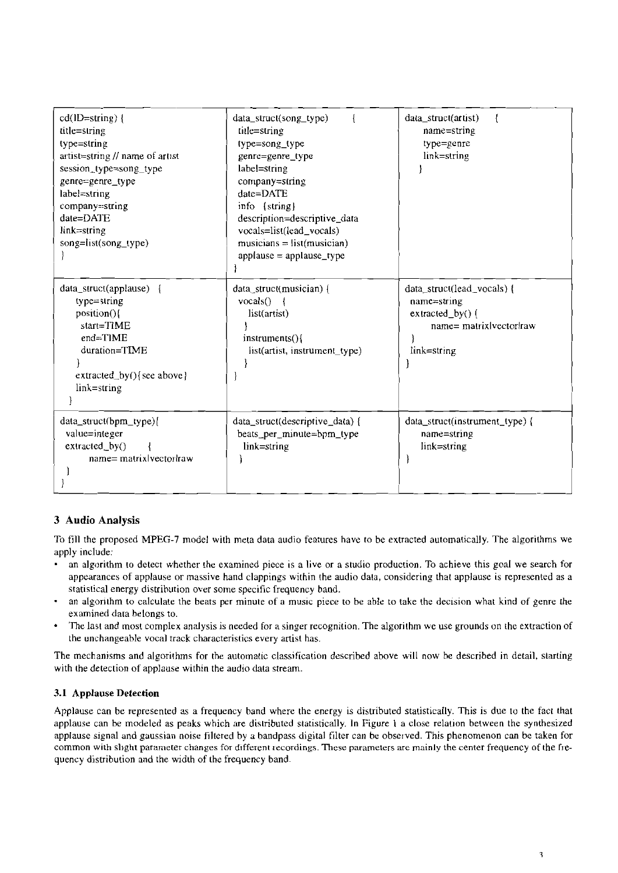| $cd(1D=string)$ {<br>utle=string<br>type=string<br>artist=string // name of artist<br>session_type=song_type<br>genre=genre_type<br>label=string<br>company=string<br>date=DATE<br>link=string<br>song=list(song_type) | data_struct(song_type)<br>title=string<br>type=song_type<br>genre=genre_type<br>label=string<br>company=string<br>$date=DATE$<br>info {string}<br>description=descriptive_data<br>vocals=list(lead_vocals)<br>$musicians = list(musician)$<br>$applausé = applausé_type$ | data_struct(artist)<br>name=string<br>type=genre<br>link=string                                              |
|------------------------------------------------------------------------------------------------------------------------------------------------------------------------------------------------------------------------|--------------------------------------------------------------------------------------------------------------------------------------------------------------------------------------------------------------------------------------------------------------------------|--------------------------------------------------------------------------------------------------------------|
| data_struct(applause) {<br>type=string<br>position(){<br>$start = TIME$<br>$end = TIME$<br>duration=TIME<br>extracted_by(){see above}<br>link=string                                                                   | data_struct(musician) {<br>vocals()<br>list(artist)<br>instruments()<br>list(artist, instrument_type)                                                                                                                                                                    | data_struct(lead_vocals) {<br>$name=string$<br>$extracted_by()$<br>$name = matrix vector raw$<br>link=string |
| data_struct(bpm_type){<br>value=integer<br>$extrated_by()$<br>$name = matrix vector raw$                                                                                                                               | data_struct(descriptive_data) {<br>beats_per_minute=bpm_type<br>link=string                                                                                                                                                                                              | data_struct(instrument_type) {<br>name=string<br>link=string                                                 |

# **3 Audio Analysis**

To fill the proposed MPEG-7 model with meta data audio features have to be extracted automatically. The algorilhms we apply include:

- an algorithm to detect whether the examined piece is a live or a studio production. To achieve this goal we search for appearances of applause or massive hand clappings within the audio data, considering that applause is represented as a statistical energy distribution over some specific frequency band.<br>an algorithm to calculate the beats per minute of a music piece to be able to take the decision what kind of genre the
- examined data belongs to.
- $\bullet$ The last and most complex analysis is needed for a singer recognition. The algorithm we use grounds on the extraction of the unchangeable vocal track characteristics every artist has.

The mechanisms and algorithms for the automatic classification described above will now be described in detail, starting with the detection of applause within the audio data stream.

#### **3.1 Applause Detection**

Applause can be represented as a frequency band where the energy is distributed statistically. This is due to the fact that applause can be modeled as peaks which are distributed statistically. In Figure 1 a close relation between the synthesized applause signal and gaussian noise filtered by a bandpass digital filter can be observed. This phenomenon can be taken for common with slight parameter changes for different recordings. These parameters are mainly the center frequency of the frequency distribution and the width of the frequency band.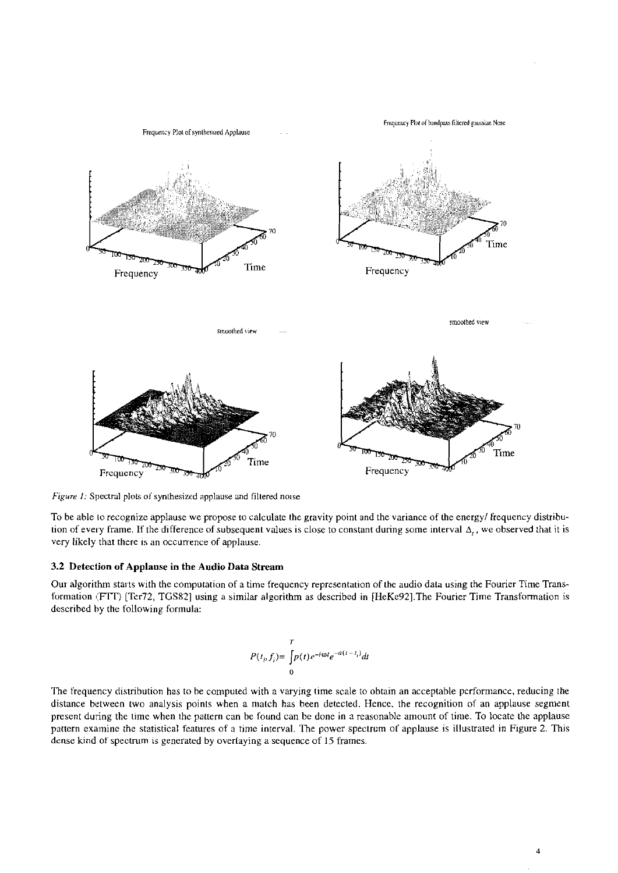

*Figure 1*: Spectral plots of synthesized applause and filtered noise

To be able to recognize applause we propose to calculate the gravity point and the variance of the energy/ frequency distribution of every frame. If the difference of subsequent values is close to constant during some interval  $\Delta_i$ , we observed that it is very likely that there is an occurrence of applause.

#### **3.2 Detection of Applause in the Audio Data Stream**

Our algorithm starts with the computation of a time frequency representation of the audio data using the Fourier Time Transformation (FTT) [Ter72, TGS82] using a similar algorithm as described in [HeKe92]. The Fourier Time Transformation is described by the following formula:

$$
P(t_i, f_i) = \int_{0}^{T} p(t) e^{-i\omega t} e^{-a(t - t_i)} dt
$$

The frequency distribution has to be computed with a varying time scale to obtain an acceptable performance, reducing the distance between two analysis points when a match has been detected. Hence, the recognition of an applause segment present during the iime when the pattern can be found can be done in **1i** reasonable amount of tinie. To locate ihe applause pattern examine the statistical features of a time interval. The power spectrum of applause is illustrated in Figure 2. This dense kind of spectrum is generated by overlaying a sequence of 15 frames.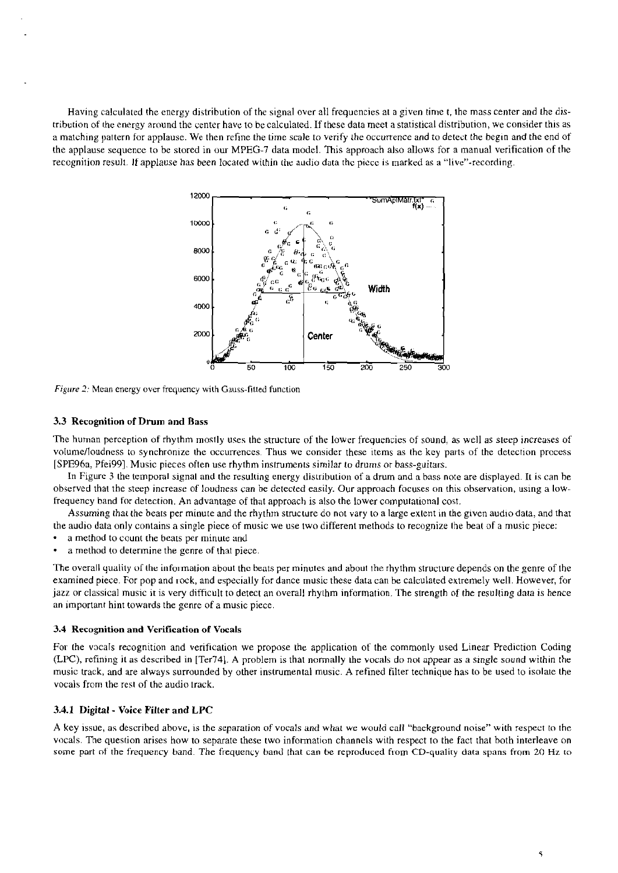Having calculated the energy distribution of the signal over all frequencies at a given time t, the mass center and the distribution of the energy around the center have to be calculated. If these data meet a statistical distribution, we consider this as a matching pattern for applause. We then refine the time scale to verify the occurrence and to detect the begin and the end of the applause sequence to be stored in our MPEG-7 data rnodel. This approach also allows for a manual verification of the recognition result. If applause has been located within the audio data the piece is marked as a "live"-recording.



**Figure** 2: Mean energy over frequency with Gauss-fitted function

#### *3.3* **Recognition of Drum and Bass**

The human perception of rhythm mostly uses the structure of the lower frequencies of sound, as well as steep increases of volumelloudness to sy nchronize the occunences. Thus we consider these items as the key paits of the detection process [SPE96a, Pfei99]. Music pieces often use rhythm instruments similar to drums or bass-guitars.

In Figure 3 the temporal signal and the resulting energy distribution of a drum and a bass note are displayed. It is can be observed that the steep increase of loudness can be detected easily. Our approach focuses on this observation, using a lowfrequency band for detection. An advantage of that approach is also the lower computational cost.

Assuming that the beats per minute and the rhythm structure do not vary to a large extent in the given audio data, and that the audio data only contains a single piece of music we use two different methods to recognize Ihe beat of a music piece:

- a method to count the beats per minute and
- a method to determine the genre of that piece.

The overall quality of the information about the beats per minutes and about the rhythm structure depends on the genre of the examined piece. For pop and iock, and especially for dance music these data can be calculated extremely well. However, for jazz or classical music it is very difficult to detect an overall rhythm information. The strength of the resulting data is hence an important hint towards the genre of a music piece.

#### **3.4 Recognition and Vcrification of Vocals**

For the vocals recognition and verification we propose the application of the commonly used Linear Prediction Coding (LPC), refining it as described in [Ter74]. A problern is that normally the vocals do not appear as a single sound within the music track, and are always surrounded by other instrumental music. Arefined Filter technique has tobe used to isolate the vocals frcm the resr of the audio track.

#### **3.1.1 Digital** - **Voice Filter and LPC**

A key issue, **as** described above, is the separation of vocals and whai we would call "background noise" with respect to the vocals. The question arises how to separate these two information channels with respect to the fact that both interleave on some part of the frequency band. The frequency band that can be reproduced from CD-quality data spans from 20 Hz to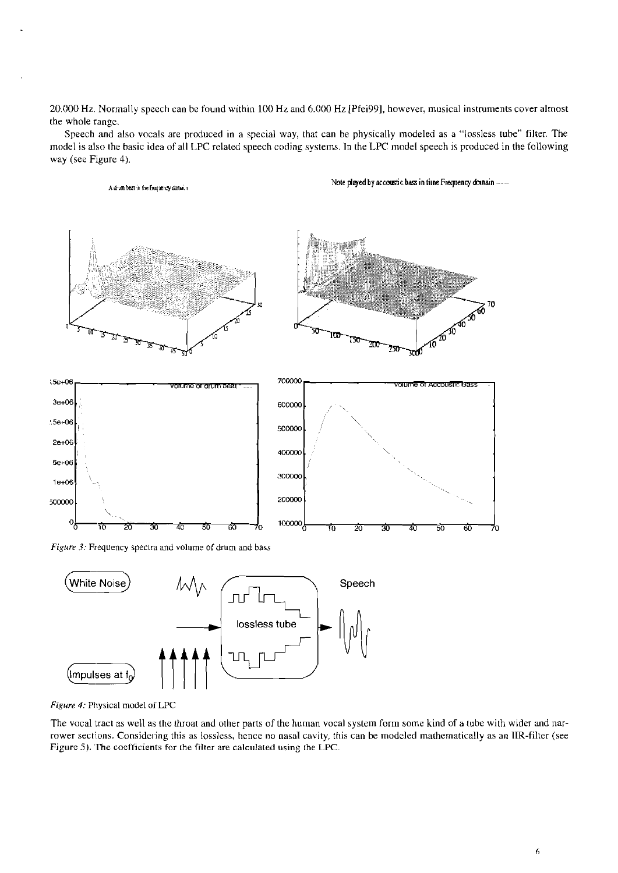20.000 Hz. Normally speech can be found within 100 Hz and 6.000 Hz [Pfei99], however, musical instruments cover almost the whole range.

Speech and also vocals are produced in a special way, that can be physically modeled as a "lossless tube" filter. The model is also the basic idea of all LPC related speech coding systems. In the LPC model speech is produced in the following way (see Figure 4).



Figure 4: Physical model of LPC

The vocal tract as well as the throat and other parts of the human vocal system form some kind of a tube with wider and narrower sections. Considering this as lossless, hence no nasal cavity, this can be modeled mathematically as an IIR-filter (see Figure 5). The coefficients for the filter are calculated using the LPC.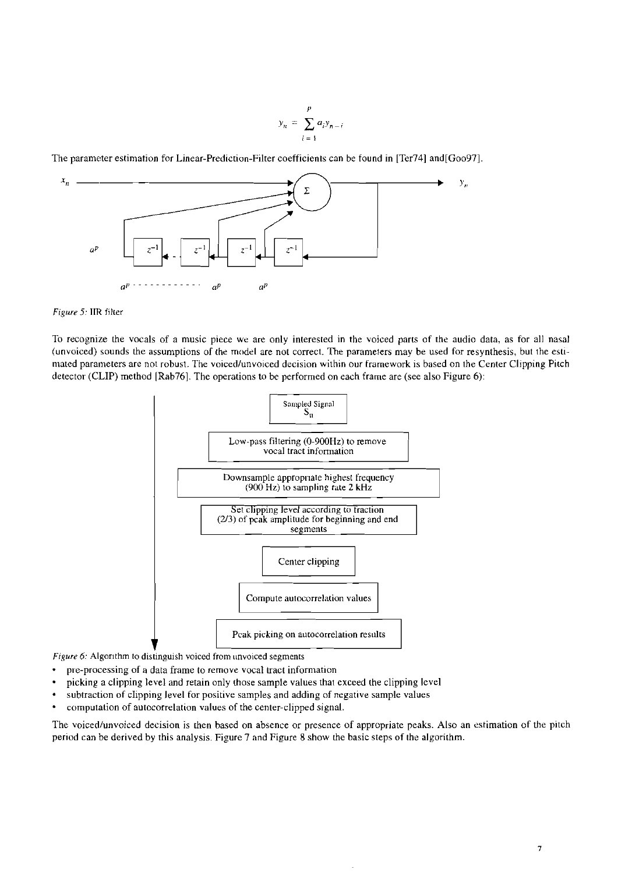

The parameter estimation for Linear-Prediction-Filter coefficients can be found in [Ter74] and[Goo97].





To recognize the vocals of a music piece we are only interested in the voiced parts of the audio data, as for all nasal (unvoiced) sounds the assumptions of the model are not correct. The paranieters may be used for resynthesis, but the estimated parameters are not robust. The voiced/unvoiced decision within our framework is based on the Center Clipping Pitch detector (CLIP) method [Rab76]. The operations to be performed on each frame are (see also Figure 6):



Figure 6: Algorithm to distinguish voiced from unvoiced segments

- pre-processing of a data frame to remove vocal tract information
- picking a clipping level and retain only those sample values that exceed the clipping level
- subtraction of clipping level for positive samples and adding of negative sample values
- compuiation of autocorrelation values of the cenier-clipped signal.

The voiced/unvoiced decision is then based on absence or presence of appropriate peaks. Also an estimation of the pitch period can be derived by this analysis. Figure7 and Figure **8** show the basic steps of the algorithm.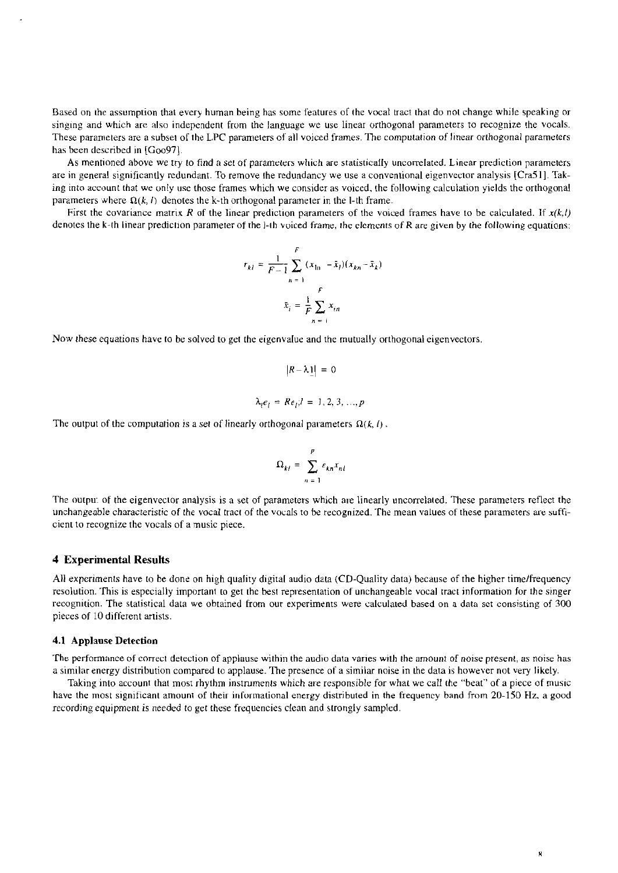Based on the assumption that every human being has some features of the vocal tract ihat do not change while speaking or singing and which are also independent from the language we use linear orthogonal parameters to recognize the vocals. These parameters are a subset of the LPC parameters of all voiced frames. The computation of linear orthogonal parameters has been described in [Goo97].

As mentioned above we try to find a set of parameters which are statistically uncorrelated. Linear prediction parameters are in general significantly redundant. To remove the redundancy we use a conventional eigenvector analysis [CraSl]. Taking into account that we only use those frames which we consider as voiced, the following calculation yields the orthogonal parameters where  $\Omega(k, l)$  denotes the k-th orthogonal parameter in the I-th frame.

First the covariance matrix R of the Iinear prediction parameters of the voiced frames have to be calculated. If  $x(k, l)$ denotes the k-th linear prediction parameter of the I-th voiced frame, the elements of R are given by the following equations:

$$
r_{kl} = \frac{1}{F-1} \sum_{n=1}^{F} (x_{\ln} - \bar{x}_l)(x_{kn} - \bar{x}_k)
$$

$$
\bar{x}_i = \frac{1}{F} \sum_{n=1}^{F} x_{in}
$$

Now these equations have to be solved to get the eigenvalue and the mutually orthogonal eigenvectors.

$$
|R - \lambda_1| = 0
$$
  

$$
\lambda_i e_i = Re_i, l = 1, 2, 3, ..., p
$$

The output of the computation is a set of linearly orthogonal parameters  $\Omega(k, l)$ .

$$
\Omega_{kl} = \sum_{n=1}^{p} e_{kn} x_{nl}
$$

The outpu: of the eigenvector analysis is a set of parameters which aie linearly uncorrelated. These parameters reflect the unchangeable characteristic of the vocal tract of the vocals to be recognized. The mean values of these parameters are sufficient to recognize the vocals of a music piece.

#### **J Experimental ResuIts**

All expcriments have to be done on high quality digital audio data (CD-Quality data) because of the higher timelfrequency resolution. This is especially important to get the hest repiesentation of unchangeable vocal tract information for the singer recognition. The statistical data we obtained from our experiments were cdlculated based on a data sct consisting of 300 pieces of 10 different artists.

#### **4.1 Applause Detection**

The performance of correct detection of applause within the audio data varies with the amount of noise present, as noise has a similar energy distribution compared to applause. The presence of a similar noise in the data is however not very likely.

Taking into account that most rhythm instruments which are responsible for what we call the "beat" of a piece of music have the most significant amount of their informational energy distributed in the frequency band from 20-150 Hz, a good recording equipment is needed to get these frequencies clean and strongly sampled.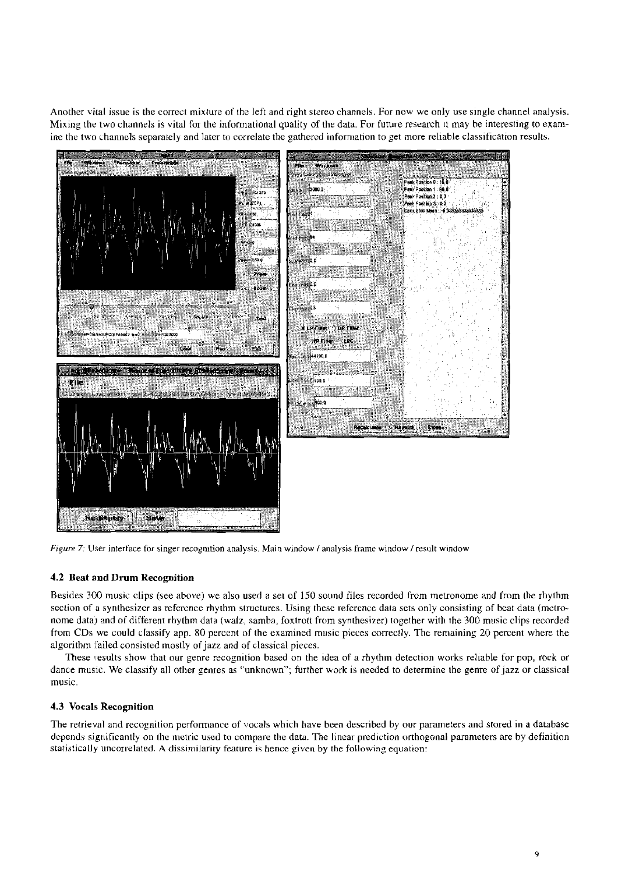Another vital issue is the correct mixture of the left and right stereo channels. For now we only use single channel analysis. Mixing the two channels is vital for the informational quality of the data. For future research it may be interesting to examine the two channels separately and later to correlate the gathered information to get more reliable classification results.



*Figure 7:* User interface for singer recognition analysis. Main window / analysis frame window / result window

# 4.2 Beat and **Drum** Hecognitinn

Besides 300 music clips (see above) we also used a set of 150 sound files recorded from metronome and from the rhythm section of a synthesizer as reference rhythm structures. Using these reference data sets only consisting of beat data (metronome data) and of different rhythm data (walz, samba, foxtrott from synthesizer) together with the 300 music clips recorded from CDs we could classify app. 80 percent of the examined music pieces correctly. The remaining 20 percent where the algorithm failed consisted mostly of jazz and of classical pieces.

These tsults show thar our genre recognition based on the idea of **n** rhythm detection works reliable for pop, rock or dance music. We classify all other genres as "unknown"; further work is needed to determine the genre of jazz or classical music.

# 4.3 Vocals Recognition

The retrieval and recognition performance of vocals which have been described by our parameters and stored in a database depends significantly on the metric used to compare the data. The linear prediction orthogonal parameters are by definition statistically uncorrelated. A dissimilarity feature is hence given by the following equation: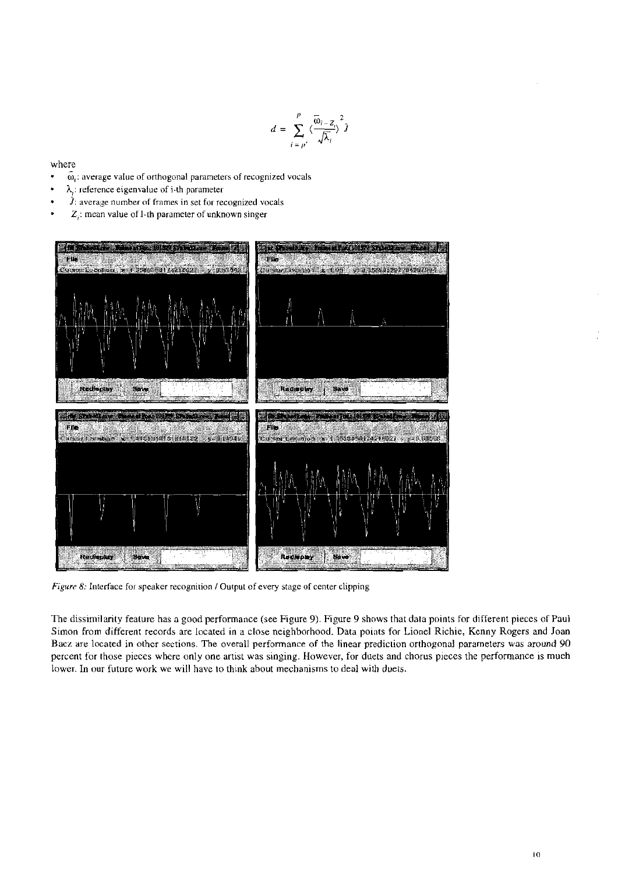$$
d = \sum_{i=p'}^{p} \langle \frac{\overline{\omega}_{i-Z_i}}{\sqrt{\lambda_i}} \rangle^2 J
$$

where

- $\overline{\omega}_i$ : average value of orthogonal parameters of recognized vocals
- $\lambda$ ,: reference eigenvalue of i-th parameter
- $\frac{1}{2}$ : average number of frames in set for recognized vocals <br>**2.** 2,: mean value of 1-th parameter of unknown singer
- 



Figure 8: Interface for speaker recognition / Output of every stage of center clipping

The dissimilarity feature has a good performance (see Figure 9). Figure 9 shows that data points for different pieces of Paul Simon from different records are located in a close neighborhood. Data points for Lionel Richie, Kenny Rogers and Joan Baez are located in other sections. The overall performance of the linear prediction orthogonal parameters was around 90 percent for those pieces where only one artist was singing. However, for duets and chorus pieces the performance is much lower. In our future work we will have to think about mechanisms to deal wiih duets.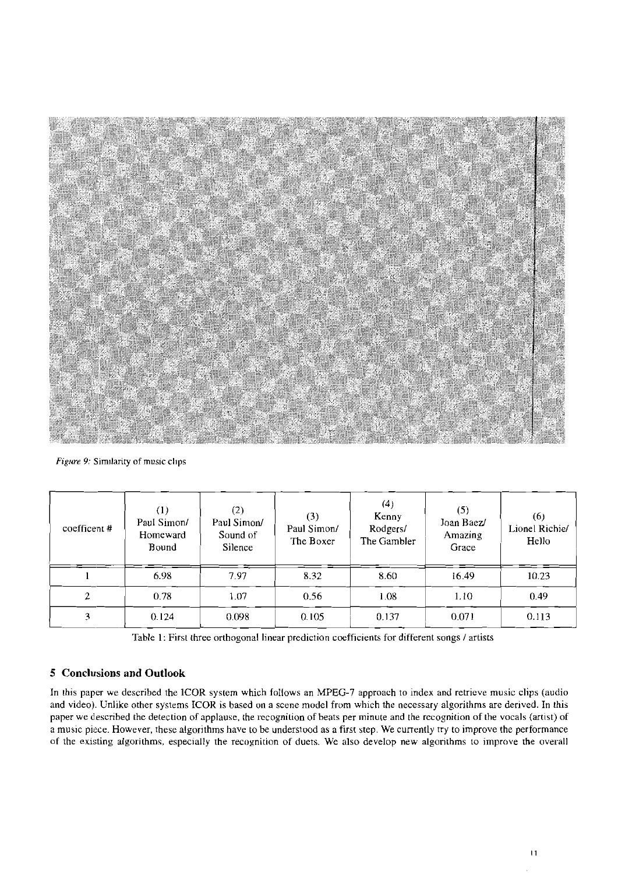

*Figure 9:* Similarity of music clips

| coefficent# | (1)<br>Paul Simon/<br>Homeward<br>Bound | (2)<br>Paul Simon/<br>Sound of<br>Silence | (3)<br>Paul Simon/<br>The Boxer | (4)<br>Kenny<br>Rodgers/<br>The Gambler | (5)<br>Joan Baez/<br>Amazing<br>Grace | (6)<br>Lionel Richie/<br>Hello |
|-------------|-----------------------------------------|-------------------------------------------|---------------------------------|-----------------------------------------|---------------------------------------|--------------------------------|
|             | 6.98                                    | 7.97                                      | 8.32                            | 8.60                                    | 16.49                                 | 10.23                          |
|             | 0.78                                    | 1.07                                      | 0.56                            | 1.08                                    | 1.10                                  | 0.49                           |
| 3           | 0.124                                   | 0.098                                     | 0.105                           | 0.137                                   | 0.071                                 | 0.113                          |

Table 1: First three orthogonal linear prediction coefficients for different songs / artists

#### **5 Conclosions and Outlook**

In this paper we described the lCOR system which follows an MPEG-7 approach to index and retrieve music clips (audio and video). Unlike other systems ICOR is based on a scene model from which the necessary algorithms are derived. In this paper we descrihed the detection of npplause. the rccognition of beats per minute and the recognition of ihe vocals (artist) of a music piece. However, these algorithms have tobe understood as a first step. We currently try to improve the performance of the existing algorithms, especially the recognition of duets. We also develop new algorithms to improve the overall